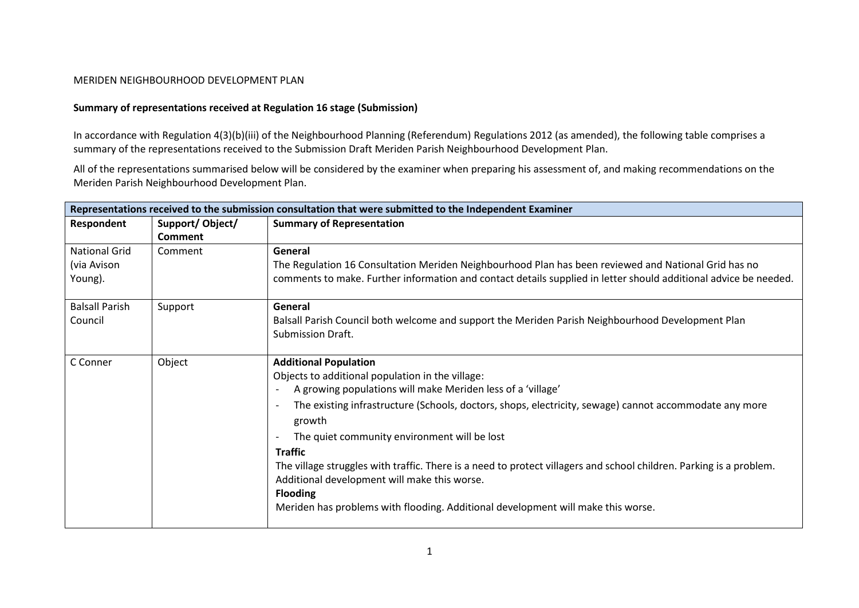## MERIDEN NEIGHBOURHOOD DEVELOPMENT PLAN

## **Summary of representations received at Regulation 16 stage (Submission)**

In accordance with Regulation 4(3)(b)(iii) of the Neighbourhood Planning (Referendum) Regulations 2012 (as amended), the following table comprises a summary of the representations received to the Submission Draft Meriden Parish Neighbourhood Development Plan.

All of the representations summarised below will be considered by the examiner when preparing his assessment of, and making recommendations on the Meriden Parish Neighbourhood Development Plan.

| Representations received to the submission consultation that were submitted to the Independent Examiner |                 |                                                                                                                                    |
|---------------------------------------------------------------------------------------------------------|-----------------|------------------------------------------------------------------------------------------------------------------------------------|
| Respondent                                                                                              | Support/Object/ | <b>Summary of Representation</b>                                                                                                   |
|                                                                                                         | Comment         |                                                                                                                                    |
| <b>National Grid</b>                                                                                    | Comment         | General                                                                                                                            |
| (via Avison                                                                                             |                 | The Regulation 16 Consultation Meriden Neighbourhood Plan has been reviewed and National Grid has no                               |
| Young).                                                                                                 |                 | comments to make. Further information and contact details supplied in letter should additional advice be needed.                   |
| <b>Balsall Parish</b>                                                                                   | Support         | General                                                                                                                            |
| Council                                                                                                 |                 | Balsall Parish Council both welcome and support the Meriden Parish Neighbourhood Development Plan                                  |
|                                                                                                         |                 | <b>Submission Draft.</b>                                                                                                           |
| C Conner                                                                                                | Object          | <b>Additional Population</b>                                                                                                       |
|                                                                                                         |                 | Objects to additional population in the village:                                                                                   |
|                                                                                                         |                 | A growing populations will make Meriden less of a 'village'                                                                        |
|                                                                                                         |                 | The existing infrastructure (Schools, doctors, shops, electricity, sewage) cannot accommodate any more<br>$\overline{\phantom{a}}$ |
|                                                                                                         |                 | growth                                                                                                                             |
|                                                                                                         |                 | The quiet community environment will be lost<br>$\overline{\phantom{a}}$                                                           |
|                                                                                                         |                 | <b>Traffic</b>                                                                                                                     |
|                                                                                                         |                 | The village struggles with traffic. There is a need to protect villagers and school children. Parking is a problem.                |
|                                                                                                         |                 | Additional development will make this worse.                                                                                       |
|                                                                                                         |                 | <b>Flooding</b>                                                                                                                    |
|                                                                                                         |                 | Meriden has problems with flooding. Additional development will make this worse.                                                   |
|                                                                                                         |                 |                                                                                                                                    |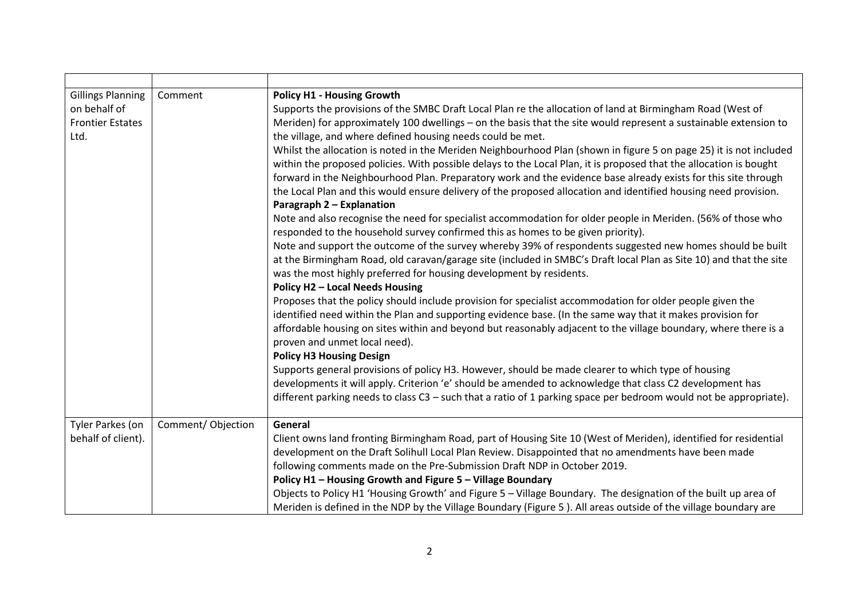| <b>Gillings Planning</b><br>on behalf of<br><b>Frontier Estates</b><br>Ltd. | Comment           | <b>Policy H1 - Housing Growth</b><br>Supports the provisions of the SMBC Draft Local Plan re the allocation of land at Birmingham Road (West of<br>Meriden) for approximately 100 dwellings - on the basis that the site would represent a sustainable extension to<br>the village, and where defined housing needs could be met.<br>Whilst the allocation is noted in the Meriden Neighbourhood Plan (shown in figure 5 on page 25) it is not included<br>within the proposed policies. With possible delays to the Local Plan, it is proposed that the allocation is bought<br>forward in the Neighbourhood Plan. Preparatory work and the evidence base already exists for this site through<br>the Local Plan and this would ensure delivery of the proposed allocation and identified housing need provision.<br>Paragraph 2 - Explanation<br>Note and also recognise the need for specialist accommodation for older people in Meriden. (56% of those who<br>responded to the household survey confirmed this as homes to be given priority).<br>Note and support the outcome of the survey whereby 39% of respondents suggested new homes should be built<br>at the Birmingham Road, old caravan/garage site (included in SMBC's Draft local Plan as Site 10) and that the site<br>was the most highly preferred for housing development by residents.<br>Policy H2 - Local Needs Housing<br>Proposes that the policy should include provision for specialist accommodation for older people given the<br>identified need within the Plan and supporting evidence base. (In the same way that it makes provision for<br>affordable housing on sites within and beyond but reasonably adjacent to the village boundary, where there is a<br>proven and unmet local need).<br><b>Policy H3 Housing Design</b><br>Supports general provisions of policy H3. However, should be made clearer to which type of housing<br>developments it will apply. Criterion 'e' should be amended to acknowledge that class C2 development has |
|-----------------------------------------------------------------------------|-------------------|--------------------------------------------------------------------------------------------------------------------------------------------------------------------------------------------------------------------------------------------------------------------------------------------------------------------------------------------------------------------------------------------------------------------------------------------------------------------------------------------------------------------------------------------------------------------------------------------------------------------------------------------------------------------------------------------------------------------------------------------------------------------------------------------------------------------------------------------------------------------------------------------------------------------------------------------------------------------------------------------------------------------------------------------------------------------------------------------------------------------------------------------------------------------------------------------------------------------------------------------------------------------------------------------------------------------------------------------------------------------------------------------------------------------------------------------------------------------------------------------------------------------------------------------------------------------------------------------------------------------------------------------------------------------------------------------------------------------------------------------------------------------------------------------------------------------------------------------------------------------------------------------------------------------------------------------------------------------------------------------------------------------------------------|
|                                                                             |                   | different parking needs to class $C3$ – such that a ratio of 1 parking space per bedroom would not be appropriate).                                                                                                                                                                                                                                                                                                                                                                                                                                                                                                                                                                                                                                                                                                                                                                                                                                                                                                                                                                                                                                                                                                                                                                                                                                                                                                                                                                                                                                                                                                                                                                                                                                                                                                                                                                                                                                                                                                                  |
| Tyler Parkes (on<br>behalf of client).                                      | Comment/Objection | General<br>Client owns land fronting Birmingham Road, part of Housing Site 10 (West of Meriden), identified for residential<br>development on the Draft Solihull Local Plan Review. Disappointed that no amendments have been made<br>following comments made on the Pre-Submission Draft NDP in October 2019.<br>Policy H1 - Housing Growth and Figure 5 - Village Boundary<br>Objects to Policy H1 'Housing Growth' and Figure 5 - Village Boundary. The designation of the built up area of<br>Meriden is defined in the NDP by the Village Boundary (Figure 5). All areas outside of the village boundary are                                                                                                                                                                                                                                                                                                                                                                                                                                                                                                                                                                                                                                                                                                                                                                                                                                                                                                                                                                                                                                                                                                                                                                                                                                                                                                                                                                                                                    |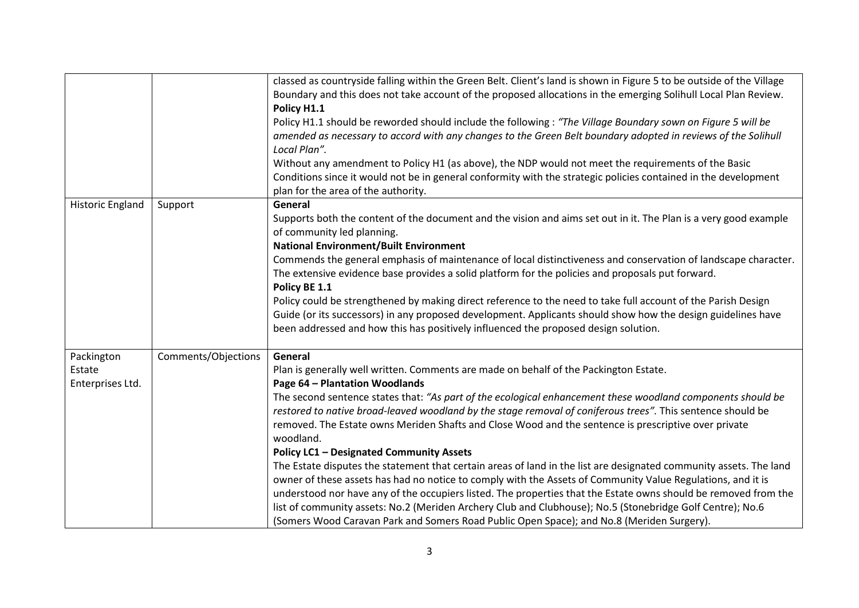|                            |                     | classed as countryside falling within the Green Belt. Client's land is shown in Figure 5 to be outside of the Village<br>Boundary and this does not take account of the proposed allocations in the emerging Solihull Local Plan Review.<br>Policy H1.1<br>Policy H1.1 should be reworded should include the following : "The Village Boundary sown on Figure 5 will be<br>amended as necessary to accord with any changes to the Green Belt boundary adopted in reviews of the Solihull<br>Local Plan".<br>Without any amendment to Policy H1 (as above), the NDP would not meet the requirements of the Basic |
|----------------------------|---------------------|-----------------------------------------------------------------------------------------------------------------------------------------------------------------------------------------------------------------------------------------------------------------------------------------------------------------------------------------------------------------------------------------------------------------------------------------------------------------------------------------------------------------------------------------------------------------------------------------------------------------|
|                            |                     | Conditions since it would not be in general conformity with the strategic policies contained in the development<br>plan for the area of the authority.                                                                                                                                                                                                                                                                                                                                                                                                                                                          |
| <b>Historic England</b>    | Support             | General<br>Supports both the content of the document and the vision and aims set out in it. The Plan is a very good example<br>of community led planning.<br><b>National Environment/Built Environment</b>                                                                                                                                                                                                                                                                                                                                                                                                      |
|                            |                     | Commends the general emphasis of maintenance of local distinctiveness and conservation of landscape character.<br>The extensive evidence base provides a solid platform for the policies and proposals put forward.<br>Policy BE 1.1                                                                                                                                                                                                                                                                                                                                                                            |
|                            |                     | Policy could be strengthened by making direct reference to the need to take full account of the Parish Design<br>Guide (or its successors) in any proposed development. Applicants should show how the design guidelines have<br>been addressed and how this has positively influenced the proposed design solution.                                                                                                                                                                                                                                                                                            |
| Packington                 | Comments/Objections | General                                                                                                                                                                                                                                                                                                                                                                                                                                                                                                                                                                                                         |
| Estate<br>Enterprises Ltd. |                     | Plan is generally well written. Comments are made on behalf of the Packington Estate.<br>Page 64 - Plantation Woodlands                                                                                                                                                                                                                                                                                                                                                                                                                                                                                         |
|                            |                     | The second sentence states that: "As part of the ecological enhancement these woodland components should be<br>restored to native broad-leaved woodland by the stage removal of coniferous trees". This sentence should be<br>removed. The Estate owns Meriden Shafts and Close Wood and the sentence is prescriptive over private<br>woodland.                                                                                                                                                                                                                                                                 |
|                            |                     | <b>Policy LC1 - Designated Community Assets</b>                                                                                                                                                                                                                                                                                                                                                                                                                                                                                                                                                                 |
|                            |                     | The Estate disputes the statement that certain areas of land in the list are designated community assets. The land<br>owner of these assets has had no notice to comply with the Assets of Community Value Regulations, and it is                                                                                                                                                                                                                                                                                                                                                                               |
|                            |                     | understood nor have any of the occupiers listed. The properties that the Estate owns should be removed from the<br>list of community assets: No.2 (Meriden Archery Club and Clubhouse); No.5 (Stonebridge Golf Centre); No.6<br>(Somers Wood Caravan Park and Somers Road Public Open Space); and No.8 (Meriden Surgery).                                                                                                                                                                                                                                                                                       |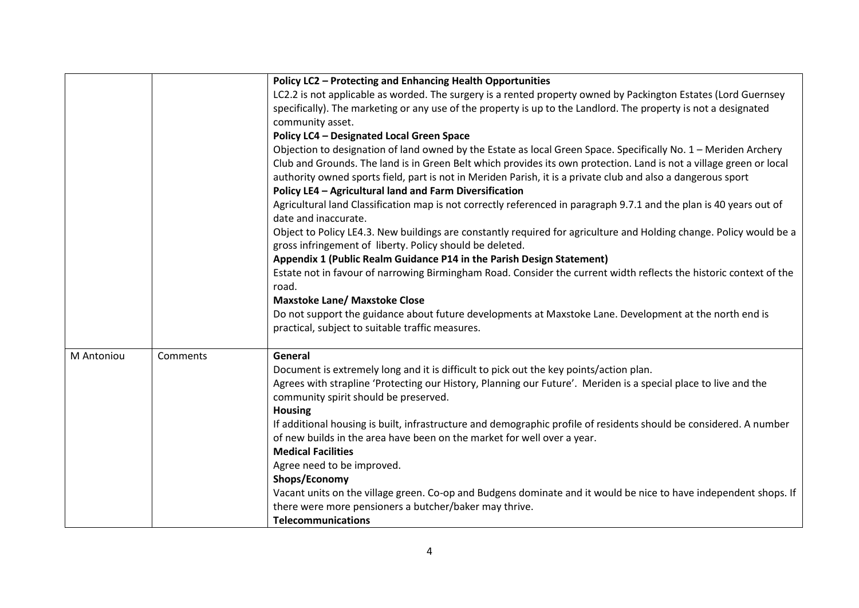|            |          | Policy LC2 - Protecting and Enhancing Health Opportunities                                                                                  |
|------------|----------|---------------------------------------------------------------------------------------------------------------------------------------------|
|            |          | LC2.2 is not applicable as worded. The surgery is a rented property owned by Packington Estates (Lord Guernsey                              |
|            |          | specifically). The marketing or any use of the property is up to the Landlord. The property is not a designated                             |
|            |          | community asset.                                                                                                                            |
|            |          | <b>Policy LC4 - Designated Local Green Space</b>                                                                                            |
|            |          | Objection to designation of land owned by the Estate as local Green Space. Specifically No. 1 - Meriden Archery                             |
|            |          | Club and Grounds. The land is in Green Belt which provides its own protection. Land is not a village green or local                         |
|            |          | authority owned sports field, part is not in Meriden Parish, it is a private club and also a dangerous sport                                |
|            |          | Policy LE4 - Agricultural land and Farm Diversification                                                                                     |
|            |          | Agricultural land Classification map is not correctly referenced in paragraph 9.7.1 and the plan is 40 years out of<br>date and inaccurate. |
|            |          | Object to Policy LE4.3. New buildings are constantly required for agriculture and Holding change. Policy would be a                         |
|            |          | gross infringement of liberty. Policy should be deleted.                                                                                    |
|            |          | Appendix 1 (Public Realm Guidance P14 in the Parish Design Statement)                                                                       |
|            |          | Estate not in favour of narrowing Birmingham Road. Consider the current width reflects the historic context of the                          |
|            |          | road.<br><b>Maxstoke Lane/ Maxstoke Close</b>                                                                                               |
|            |          | Do not support the guidance about future developments at Maxstoke Lane. Development at the north end is                                     |
|            |          | practical, subject to suitable traffic measures.                                                                                            |
|            |          |                                                                                                                                             |
| M Antoniou | Comments | General                                                                                                                                     |
|            |          | Document is extremely long and it is difficult to pick out the key points/action plan.                                                      |
|            |          | Agrees with strapline 'Protecting our History, Planning our Future'. Meriden is a special place to live and the                             |
|            |          | community spirit should be preserved.                                                                                                       |
|            |          | <b>Housing</b>                                                                                                                              |
|            |          | If additional housing is built, infrastructure and demographic profile of residents should be considered. A number                          |
|            |          | of new builds in the area have been on the market for well over a year.                                                                     |
|            |          | <b>Medical Facilities</b>                                                                                                                   |
|            |          | Agree need to be improved.                                                                                                                  |
|            |          | Shops/Economy                                                                                                                               |
|            |          | Vacant units on the village green. Co-op and Budgens dominate and it would be nice to have independent shops. If                            |
|            |          | there were more pensioners a butcher/baker may thrive.                                                                                      |
|            |          | <b>Telecommunications</b>                                                                                                                   |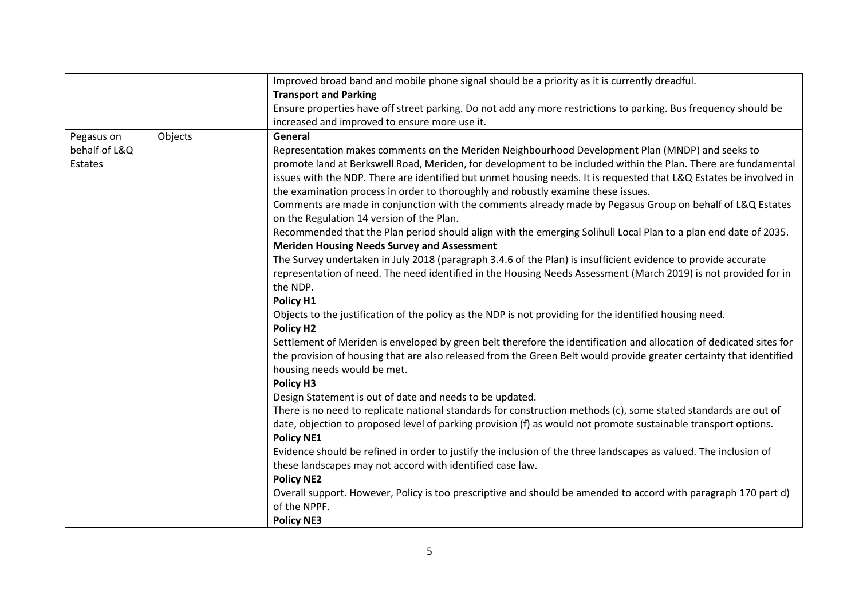|               |         | Improved broad band and mobile phone signal should be a priority as it is currently dreadful.                                                                                                                                     |
|---------------|---------|-----------------------------------------------------------------------------------------------------------------------------------------------------------------------------------------------------------------------------------|
|               |         | <b>Transport and Parking</b>                                                                                                                                                                                                      |
|               |         | Ensure properties have off street parking. Do not add any more restrictions to parking. Bus frequency should be                                                                                                                   |
|               |         | increased and improved to ensure more use it.                                                                                                                                                                                     |
| Pegasus on    | Objects | General                                                                                                                                                                                                                           |
| behalf of L&Q |         | Representation makes comments on the Meriden Neighbourhood Development Plan (MNDP) and seeks to                                                                                                                                   |
| Estates       |         | promote land at Berkswell Road, Meriden, for development to be included within the Plan. There are fundamental                                                                                                                    |
|               |         | issues with the NDP. There are identified but unmet housing needs. It is requested that L&Q Estates be involved in                                                                                                                |
|               |         | the examination process in order to thoroughly and robustly examine these issues.                                                                                                                                                 |
|               |         | Comments are made in conjunction with the comments already made by Pegasus Group on behalf of L&Q Estates                                                                                                                         |
|               |         | on the Regulation 14 version of the Plan.                                                                                                                                                                                         |
|               |         | Recommended that the Plan period should align with the emerging Solihull Local Plan to a plan end date of 2035.                                                                                                                   |
|               |         | <b>Meriden Housing Needs Survey and Assessment</b>                                                                                                                                                                                |
|               |         | The Survey undertaken in July 2018 (paragraph 3.4.6 of the Plan) is insufficient evidence to provide accurate                                                                                                                     |
|               |         | representation of need. The need identified in the Housing Needs Assessment (March 2019) is not provided for in                                                                                                                   |
|               |         | the NDP.                                                                                                                                                                                                                          |
|               |         | Policy H1                                                                                                                                                                                                                         |
|               |         | Objects to the justification of the policy as the NDP is not providing for the identified housing need.                                                                                                                           |
|               |         | Policy H <sub>2</sub>                                                                                                                                                                                                             |
|               |         | Settlement of Meriden is enveloped by green belt therefore the identification and allocation of dedicated sites for                                                                                                               |
|               |         | the provision of housing that are also released from the Green Belt would provide greater certainty that identified                                                                                                               |
|               |         | housing needs would be met.                                                                                                                                                                                                       |
|               |         | Policy H3                                                                                                                                                                                                                         |
|               |         | Design Statement is out of date and needs to be updated.                                                                                                                                                                          |
|               |         | There is no need to replicate national standards for construction methods (c), some stated standards are out of<br>date, objection to proposed level of parking provision (f) as would not promote sustainable transport options. |
|               |         |                                                                                                                                                                                                                                   |
|               |         | <b>Policy NE1</b><br>Evidence should be refined in order to justify the inclusion of the three landscapes as valued. The inclusion of                                                                                             |
|               |         | these landscapes may not accord with identified case law.                                                                                                                                                                         |
|               |         | <b>Policy NE2</b>                                                                                                                                                                                                                 |
|               |         | Overall support. However, Policy is too prescriptive and should be amended to accord with paragraph 170 part d)                                                                                                                   |
|               |         | of the NPPF.                                                                                                                                                                                                                      |
|               |         | <b>Policy NE3</b>                                                                                                                                                                                                                 |
|               |         |                                                                                                                                                                                                                                   |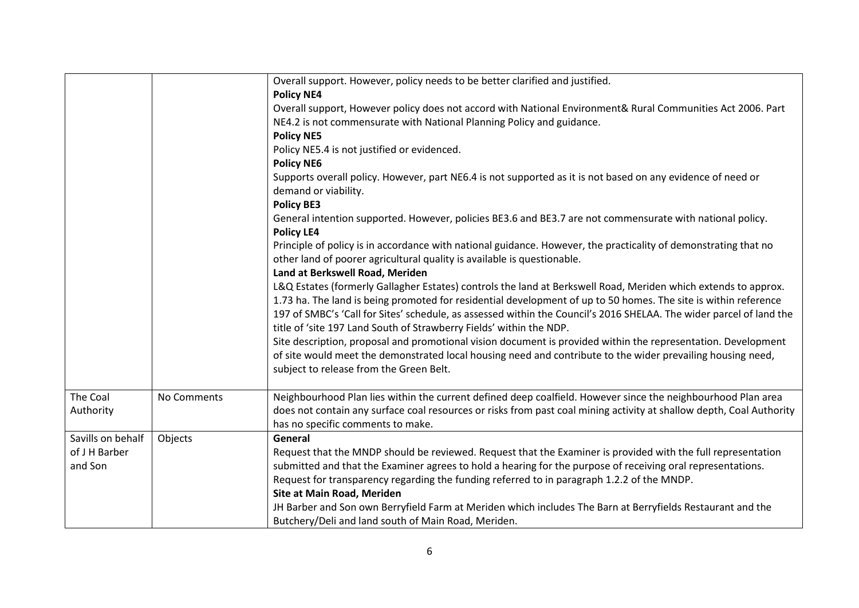|                                               |             | Overall support. However, policy needs to be better clarified and justified.<br><b>Policy NE4</b><br>Overall support, However policy does not accord with National Environment& Rural Communities Act 2006. Part<br>NE4.2 is not commensurate with National Planning Policy and guidance.<br><b>Policy NE5</b><br>Policy NE5.4 is not justified or evidenced.<br><b>Policy NE6</b><br>Supports overall policy. However, part NE6.4 is not supported as it is not based on any evidence of need or<br>demand or viability.<br><b>Policy BE3</b><br>General intention supported. However, policies BE3.6 and BE3.7 are not commensurate with national policy.<br><b>Policy LE4</b>                                                                                                                                                                                                                                                            |
|-----------------------------------------------|-------------|---------------------------------------------------------------------------------------------------------------------------------------------------------------------------------------------------------------------------------------------------------------------------------------------------------------------------------------------------------------------------------------------------------------------------------------------------------------------------------------------------------------------------------------------------------------------------------------------------------------------------------------------------------------------------------------------------------------------------------------------------------------------------------------------------------------------------------------------------------------------------------------------------------------------------------------------|
|                                               |             | Principle of policy is in accordance with national guidance. However, the practicality of demonstrating that no<br>other land of poorer agricultural quality is available is questionable.<br>Land at Berkswell Road, Meriden<br>L&Q Estates (formerly Gallagher Estates) controls the land at Berkswell Road, Meriden which extends to approx.<br>1.73 ha. The land is being promoted for residential development of up to 50 homes. The site is within reference<br>197 of SMBC's 'Call for Sites' schedule, as assessed within the Council's 2016 SHELAA. The wider parcel of land the<br>title of 'site 197 Land South of Strawberry Fields' within the NDP.<br>Site description, proposal and promotional vision document is provided within the representation. Development<br>of site would meet the demonstrated local housing need and contribute to the wider prevailing housing need,<br>subject to release from the Green Belt. |
| The Coal<br>Authority                         | No Comments | Neighbourhood Plan lies within the current defined deep coalfield. However since the neighbourhood Plan area<br>does not contain any surface coal resources or risks from past coal mining activity at shallow depth, Coal Authority<br>has no specific comments to make.                                                                                                                                                                                                                                                                                                                                                                                                                                                                                                                                                                                                                                                                   |
| Savills on behalf<br>of J H Barber<br>and Son | Objects     | General<br>Request that the MNDP should be reviewed. Request that the Examiner is provided with the full representation<br>submitted and that the Examiner agrees to hold a hearing for the purpose of receiving oral representations.<br>Request for transparency regarding the funding referred to in paragraph 1.2.2 of the MNDP.<br>Site at Main Road, Meriden<br>JH Barber and Son own Berryfield Farm at Meriden which includes The Barn at Berryfields Restaurant and the<br>Butchery/Deli and land south of Main Road, Meriden.                                                                                                                                                                                                                                                                                                                                                                                                     |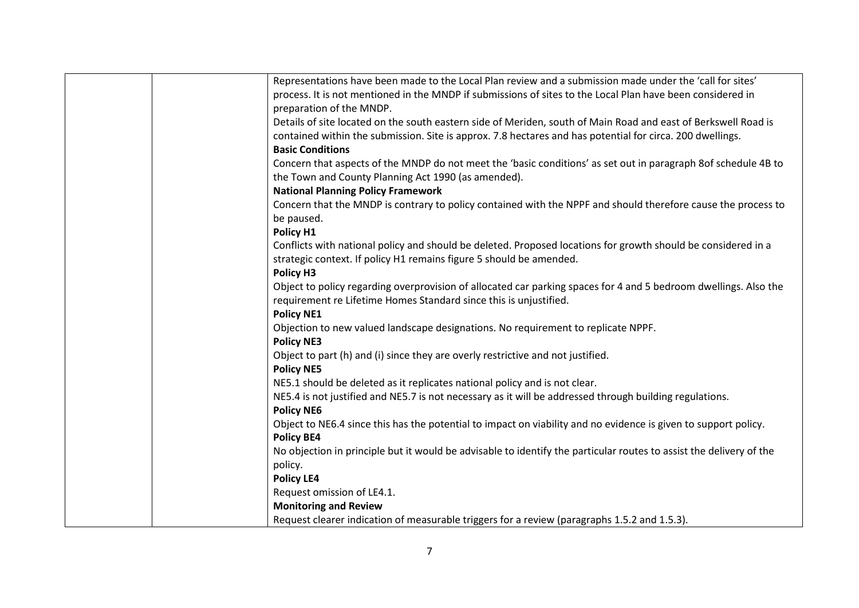| Representations have been made to the Local Plan review and a submission made under the 'call for sites'            |
|---------------------------------------------------------------------------------------------------------------------|
| process. It is not mentioned in the MNDP if submissions of sites to the Local Plan have been considered in          |
| preparation of the MNDP.                                                                                            |
| Details of site located on the south eastern side of Meriden, south of Main Road and east of Berkswell Road is      |
| contained within the submission. Site is approx. 7.8 hectares and has potential for circa. 200 dwellings.           |
| <b>Basic Conditions</b>                                                                                             |
| Concern that aspects of the MNDP do not meet the 'basic conditions' as set out in paragraph 8of schedule 4B to      |
| the Town and County Planning Act 1990 (as amended).                                                                 |
| <b>National Planning Policy Framework</b>                                                                           |
| Concern that the MNDP is contrary to policy contained with the NPPF and should therefore cause the process to       |
| be paused.                                                                                                          |
| Policy H1                                                                                                           |
| Conflicts with national policy and should be deleted. Proposed locations for growth should be considered in a       |
| strategic context. If policy H1 remains figure 5 should be amended.                                                 |
| Policy H3                                                                                                           |
| Object to policy regarding overprovision of allocated car parking spaces for 4 and 5 bedroom dwellings. Also the    |
| requirement re Lifetime Homes Standard since this is unjustified.                                                   |
| <b>Policy NE1</b>                                                                                                   |
| Objection to new valued landscape designations. No requirement to replicate NPPF.                                   |
| <b>Policy NE3</b>                                                                                                   |
| Object to part (h) and (i) since they are overly restrictive and not justified.                                     |
| <b>Policy NE5</b>                                                                                                   |
| NE5.1 should be deleted as it replicates national policy and is not clear.                                          |
| NE5.4 is not justified and NE5.7 is not necessary as it will be addressed through building regulations.             |
| <b>Policy NE6</b>                                                                                                   |
| Object to NE6.4 since this has the potential to impact on viability and no evidence is given to support policy.     |
| <b>Policy BE4</b>                                                                                                   |
| No objection in principle but it would be advisable to identify the particular routes to assist the delivery of the |
| policy.                                                                                                             |
| <b>Policy LE4</b>                                                                                                   |
| Request omission of LE4.1.                                                                                          |
| <b>Monitoring and Review</b>                                                                                        |
| Request clearer indication of measurable triggers for a review (paragraphs 1.5.2 and 1.5.3).                        |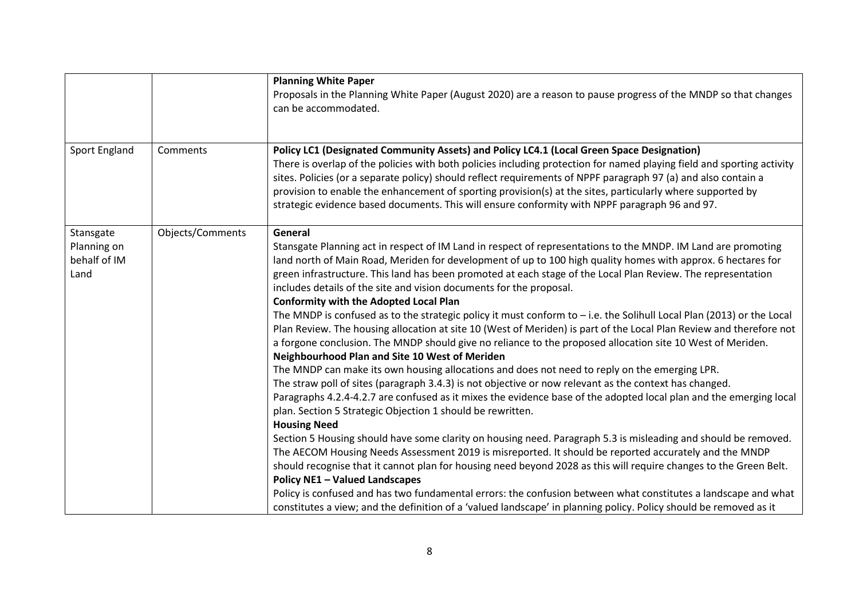|               |                  | <b>Planning White Paper</b>                                                                                                           |
|---------------|------------------|---------------------------------------------------------------------------------------------------------------------------------------|
|               |                  | Proposals in the Planning White Paper (August 2020) are a reason to pause progress of the MNDP so that changes                        |
|               |                  | can be accommodated.                                                                                                                  |
|               |                  |                                                                                                                                       |
|               |                  |                                                                                                                                       |
| Sport England | Comments         | Policy LC1 (Designated Community Assets) and Policy LC4.1 (Local Green Space Designation)                                             |
|               |                  | There is overlap of the policies with both policies including protection for named playing field and sporting activity                |
|               |                  | sites. Policies (or a separate policy) should reflect requirements of NPPF paragraph 97 (a) and also contain a                        |
|               |                  | provision to enable the enhancement of sporting provision(s) at the sites, particularly where supported by                            |
|               |                  | strategic evidence based documents. This will ensure conformity with NPPF paragraph 96 and 97.                                        |
|               |                  |                                                                                                                                       |
| Stansgate     | Objects/Comments | General                                                                                                                               |
| Planning on   |                  | Stansgate Planning act in respect of IM Land in respect of representations to the MNDP. IM Land are promoting                         |
| behalf of IM  |                  | land north of Main Road, Meriden for development of up to 100 high quality homes with approx. 6 hectares for                          |
| Land          |                  | green infrastructure. This land has been promoted at each stage of the Local Plan Review. The representation                          |
|               |                  | includes details of the site and vision documents for the proposal.                                                                   |
|               |                  | <b>Conformity with the Adopted Local Plan</b>                                                                                         |
|               |                  | The MNDP is confused as to the strategic policy it must conform to $-$ i.e. the Solihull Local Plan (2013) or the Local               |
|               |                  | Plan Review. The housing allocation at site 10 (West of Meriden) is part of the Local Plan Review and therefore not                   |
|               |                  | a forgone conclusion. The MNDP should give no reliance to the proposed allocation site 10 West of Meriden.                            |
|               |                  | Neighbourhood Plan and Site 10 West of Meriden                                                                                        |
|               |                  | The MNDP can make its own housing allocations and does not need to reply on the emerging LPR.                                         |
|               |                  | The straw poll of sites (paragraph 3.4.3) is not objective or now relevant as the context has changed.                                |
|               |                  | Paragraphs 4.2.4-4.2.7 are confused as it mixes the evidence base of the adopted local plan and the emerging local                    |
|               |                  | plan. Section 5 Strategic Objection 1 should be rewritten.                                                                            |
|               |                  | <b>Housing Need</b><br>Section 5 Housing should have some clarity on housing need. Paragraph 5.3 is misleading and should be removed. |
|               |                  | The AECOM Housing Needs Assessment 2019 is misreported. It should be reported accurately and the MNDP                                 |
|               |                  | should recognise that it cannot plan for housing need beyond 2028 as this will require changes to the Green Belt.                     |
|               |                  | <b>Policy NE1 - Valued Landscapes</b>                                                                                                 |
|               |                  |                                                                                                                                       |
|               |                  |                                                                                                                                       |
|               |                  | Policy is confused and has two fundamental errors: the confusion between what constitutes a landscape and what                        |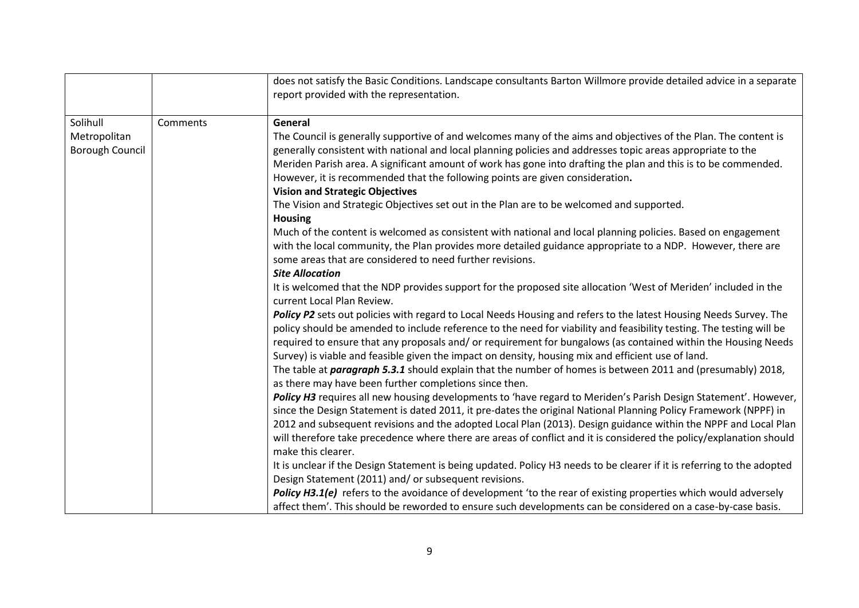|                 |          | does not satisfy the Basic Conditions. Landscape consultants Barton Willmore provide detailed advice in a separate                                                                                                  |
|-----------------|----------|---------------------------------------------------------------------------------------------------------------------------------------------------------------------------------------------------------------------|
|                 |          | report provided with the representation.                                                                                                                                                                            |
|                 |          |                                                                                                                                                                                                                     |
| Solihull        | Comments | General                                                                                                                                                                                                             |
| Metropolitan    |          | The Council is generally supportive of and welcomes many of the aims and objectives of the Plan. The content is                                                                                                     |
| Borough Council |          | generally consistent with national and local planning policies and addresses topic areas appropriate to the                                                                                                         |
|                 |          | Meriden Parish area. A significant amount of work has gone into drafting the plan and this is to be commended.                                                                                                      |
|                 |          | However, it is recommended that the following points are given consideration.                                                                                                                                       |
|                 |          | <b>Vision and Strategic Objectives</b>                                                                                                                                                                              |
|                 |          | The Vision and Strategic Objectives set out in the Plan are to be welcomed and supported.                                                                                                                           |
|                 |          | <b>Housing</b>                                                                                                                                                                                                      |
|                 |          | Much of the content is welcomed as consistent with national and local planning policies. Based on engagement                                                                                                        |
|                 |          | with the local community, the Plan provides more detailed guidance appropriate to a NDP. However, there are                                                                                                         |
|                 |          | some areas that are considered to need further revisions.                                                                                                                                                           |
|                 |          | <b>Site Allocation</b>                                                                                                                                                                                              |
|                 |          | It is welcomed that the NDP provides support for the proposed site allocation 'West of Meriden' included in the                                                                                                     |
|                 |          | current Local Plan Review.                                                                                                                                                                                          |
|                 |          | Policy P2 sets out policies with regard to Local Needs Housing and refers to the latest Housing Needs Survey. The                                                                                                   |
|                 |          | policy should be amended to include reference to the need for viability and feasibility testing. The testing will be                                                                                                |
|                 |          | required to ensure that any proposals and/or requirement for bungalows (as contained within the Housing Needs<br>Survey) is viable and feasible given the impact on density, housing mix and efficient use of land. |
|                 |          | The table at <i>paragraph 5.3.1</i> should explain that the number of homes is between 2011 and (presumably) 2018,                                                                                                  |
|                 |          | as there may have been further completions since then.                                                                                                                                                              |
|                 |          | Policy H3 requires all new housing developments to 'have regard to Meriden's Parish Design Statement'. However,                                                                                                     |
|                 |          | since the Design Statement is dated 2011, it pre-dates the original National Planning Policy Framework (NPPF) in                                                                                                    |
|                 |          | 2012 and subsequent revisions and the adopted Local Plan (2013). Design guidance within the NPPF and Local Plan                                                                                                     |
|                 |          | will therefore take precedence where there are areas of conflict and it is considered the policy/explanation should                                                                                                 |
|                 |          | make this clearer.                                                                                                                                                                                                  |
|                 |          | It is unclear if the Design Statement is being updated. Policy H3 needs to be clearer if it is referring to the adopted                                                                                             |
|                 |          | Design Statement (2011) and/ or subsequent revisions.                                                                                                                                                               |
|                 |          | Policy H3.1(e) refers to the avoidance of development 'to the rear of existing properties which would adversely                                                                                                     |
|                 |          | affect them'. This should be reworded to ensure such developments can be considered on a case-by-case basis.                                                                                                        |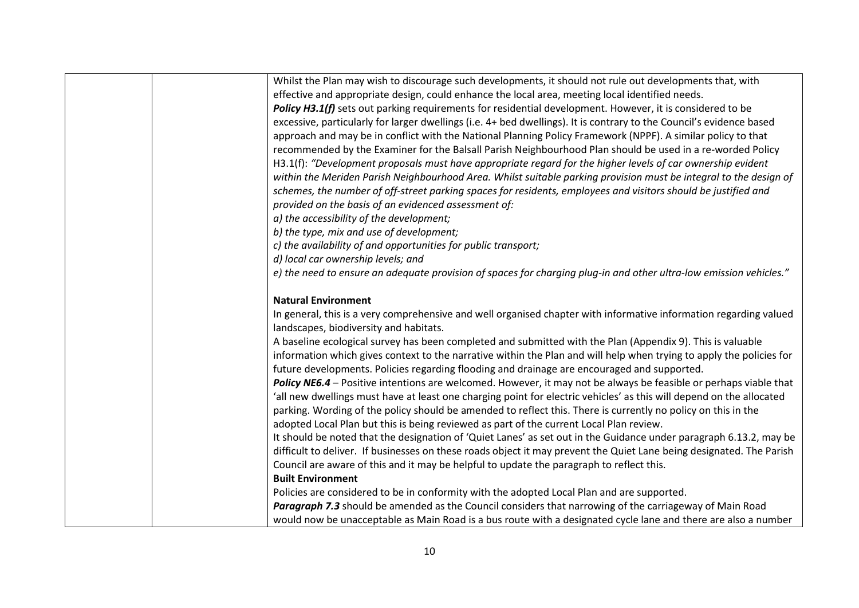| Whilst the Plan may wish to discourage such developments, it should not rule out developments that, with             |
|----------------------------------------------------------------------------------------------------------------------|
| effective and appropriate design, could enhance the local area, meeting local identified needs.                      |
| Policy H3.1(f) sets out parking requirements for residential development. However, it is considered to be            |
| excessive, particularly for larger dwellings (i.e. 4+ bed dwellings). It is contrary to the Council's evidence based |
| approach and may be in conflict with the National Planning Policy Framework (NPPF). A similar policy to that         |
| recommended by the Examiner for the Balsall Parish Neighbourhood Plan should be used in a re-worded Policy           |
| H3.1(f): "Development proposals must have appropriate regard for the higher levels of car ownership evident          |
| within the Meriden Parish Neighbourhood Area. Whilst suitable parking provision must be integral to the design of    |
| schemes, the number of off-street parking spaces for residents, employees and visitors should be justified and       |
| provided on the basis of an evidenced assessment of:                                                                 |
| a) the accessibility of the development;                                                                             |
| b) the type, mix and use of development;                                                                             |
| c) the availability of and opportunities for public transport;                                                       |
| d) local car ownership levels; and                                                                                   |
| e) the need to ensure an adequate provision of spaces for charging plug-in and other ultra-low emission vehicles."   |
|                                                                                                                      |
| <b>Natural Environment</b>                                                                                           |
| In general, this is a very comprehensive and well organised chapter with informative information regarding valued    |
| landscapes, biodiversity and habitats.                                                                               |
| A baseline ecological survey has been completed and submitted with the Plan (Appendix 9). This is valuable           |
| information which gives context to the narrative within the Plan and will help when trying to apply the policies for |
| future developments. Policies regarding flooding and drainage are encouraged and supported.                          |
| Policy NE6.4 - Positive intentions are welcomed. However, it may not be always be feasible or perhaps viable that    |
| 'all new dwellings must have at least one charging point for electric vehicles' as this will depend on the allocated |
| parking. Wording of the policy should be amended to reflect this. There is currently no policy on this in the        |
| adopted Local Plan but this is being reviewed as part of the current Local Plan review.                              |
| It should be noted that the designation of 'Quiet Lanes' as set out in the Guidance under paragraph 6.13.2, may be   |
| difficult to deliver. If businesses on these roads object it may prevent the Quiet Lane being designated. The Parish |
| Council are aware of this and it may be helpful to update the paragraph to reflect this.                             |
| <b>Built Environment</b>                                                                                             |
| Policies are considered to be in conformity with the adopted Local Plan and are supported.                           |
| Paragraph 7.3 should be amended as the Council considers that narrowing of the carriageway of Main Road              |
| would now be unacceptable as Main Road is a bus route with a designated cycle lane and there are also a number       |